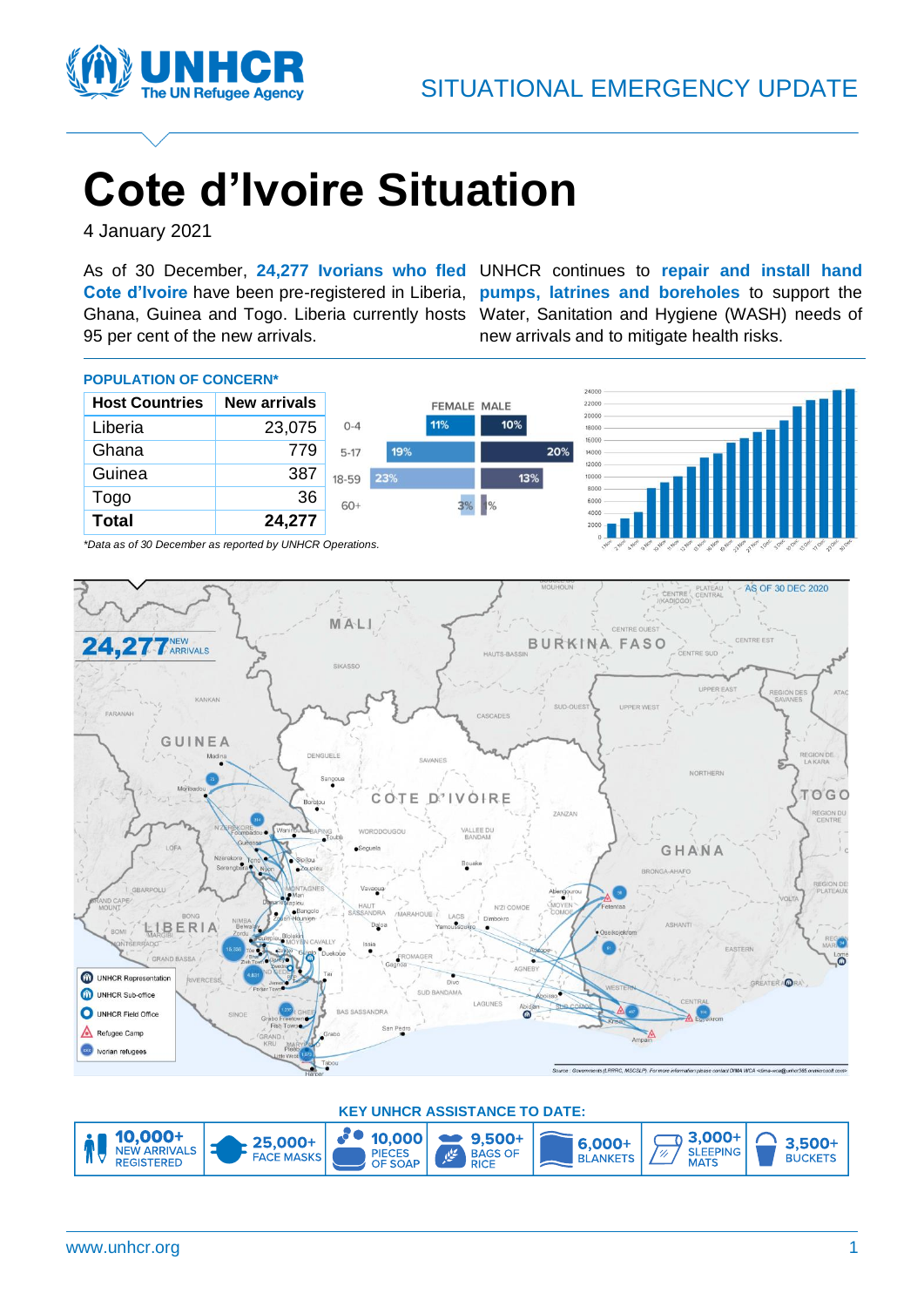

# **Cote d'Ivoire Situation**

4 January 2021

As of 30 December, **24,277 Ivorians who fled**  UNHCR continues to **repair and install hand** 95 per cent of the new arrivals.

**Cote d'Ivoire** have been pre-registered in Liberia, **pumps, latrines and boreholes** to support the Ghana, Guinea and Togo. Liberia currently hosts Water, Sanitation and Hygiene (WASH) needs of new arrivals and to mitigate health risks.



*\*Data as of 30 December as reported by UNHCR Operations.*



**KEY UNHCR ASSISTANCE TO DATE:**  $3,000+$ **10,000+**<br>NEW ARRIVALS  $30<sub>o</sub>$ 10,000  $• 9.500+$ 25,000+  $6,000+$ ח  $3.500 +$ **SLEEPING** PIECES<br>OF SOAP BAGS OF **FACE MASKS** فخلي **BLANKETS BUCKETS** REGISTERED **MATS**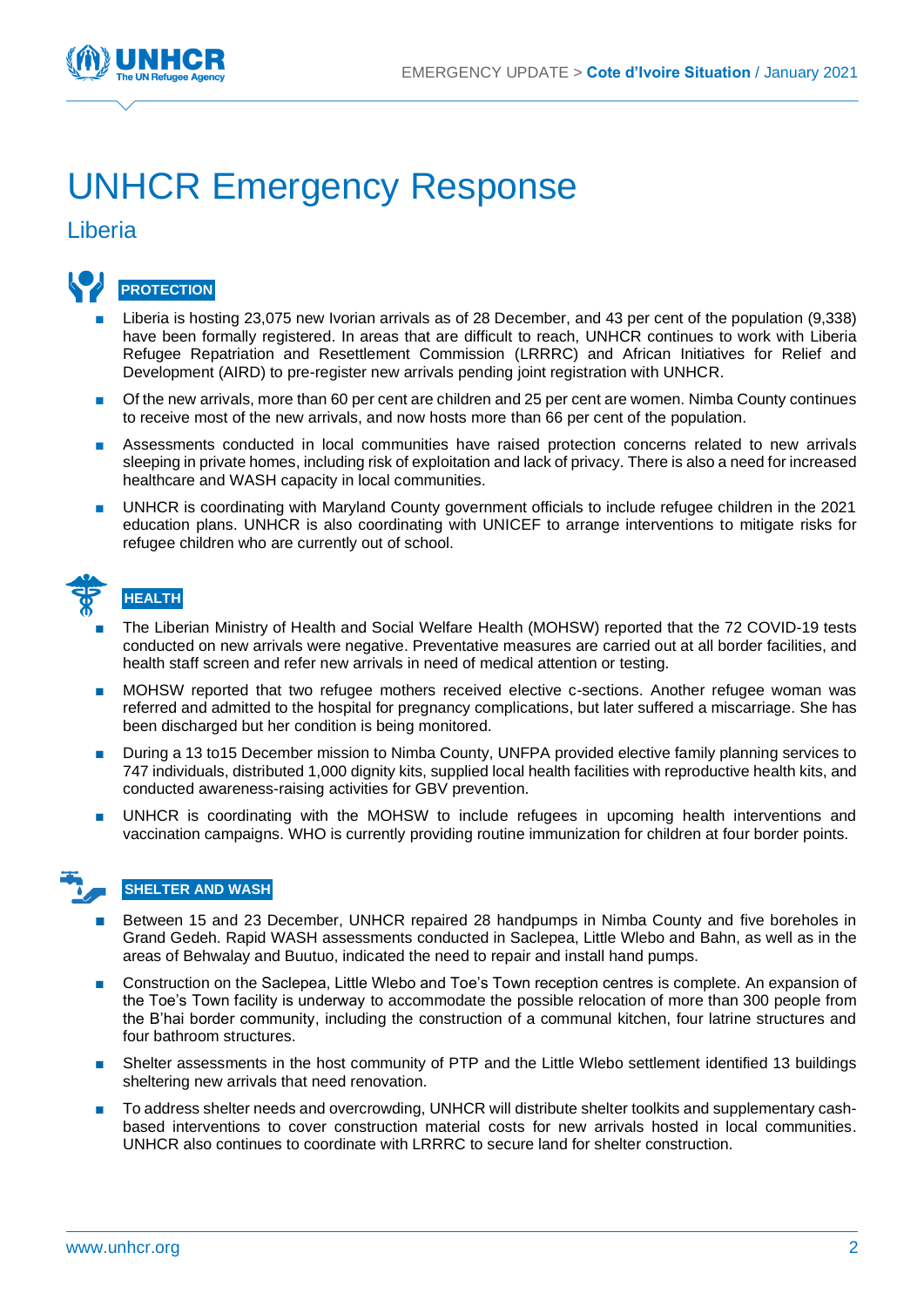

## UNHCR Emergency Response

## Liberia



- Liberia is hosting 23,075 new Ivorian arrivals as of 28 December, and 43 per cent of the population (9,338) have been formally registered. In areas that are difficult to reach, UNHCR continues to work with Liberia Refugee Repatriation and Resettlement Commission (LRRRC) and African Initiatives for Relief and Development (AIRD) to pre-register new arrivals pending joint registration with UNHCR.
- Of the new arrivals, more than 60 per cent are children and 25 per cent are women. Nimba County continues to receive most of the new arrivals, and now hosts more than 66 per cent of the population.
- Assessments conducted in local communities have raised protection concerns related to new arrivals sleeping in private homes, including risk of exploitation and lack of privacy. There is also a need for increased healthcare and WASH capacity in local communities.
- UNHCR is coordinating with Maryland County government officials to include refugee children in the 2021 education plans. UNHCR is also coordinating with UNICEF to arrange interventions to mitigate risks for refugee children who are currently out of school.

| не |
|----|
|    |

## **HEALTH**

- The Liberian Ministry of Health and Social Welfare Health (MOHSW) reported that the 72 COVID-19 tests conducted on new arrivals were negative. Preventative measures are carried out at all border facilities, and health staff screen and refer new arrivals in need of medical attention or testing.
- MOHSW reported that two refugee mothers received elective c-sections. Another refugee woman was referred and admitted to the hospital for pregnancy complications, but later suffered a miscarriage. She has been discharged but her condition is being monitored.
- During a 13 to15 December mission to Nimba County, UNFPA provided elective family planning services to 747 individuals, distributed 1,000 dignity kits, supplied local health facilities with reproductive health kits, and conducted awareness-raising activities for GBV prevention.
- UNHCR is coordinating with the MOHSW to include refugees in upcoming health interventions and vaccination campaigns. WHO is currently providing routine immunization for children at four border points.

### **SHELTER AND WASH**

- Between 15 and 23 December, UNHCR repaired 28 handpumps in Nimba County and five boreholes in Grand Gedeh. Rapid WASH assessments conducted in Saclepea, Little Wlebo and Bahn, as well as in the areas of Behwalay and Buutuo, indicated the need to repair and install hand pumps.
- Construction on the Saclepea, Little Wlebo and Toe's Town reception centres is complete. An expansion of the Toe's Town facility is underway to accommodate the possible relocation of more than 300 people from the B'hai border community, including the construction of a communal kitchen, four latrine structures and four bathroom structures.
- Shelter assessments in the host community of PTP and the Little Wlebo settlement identified 13 buildings sheltering new arrivals that need renovation.
- To address shelter needs and overcrowding, UNHCR will distribute shelter toolkits and supplementary cashbased interventions to cover construction material costs for new arrivals hosted in local communities. UNHCR also continues to coordinate with LRRRC to secure land for shelter construction.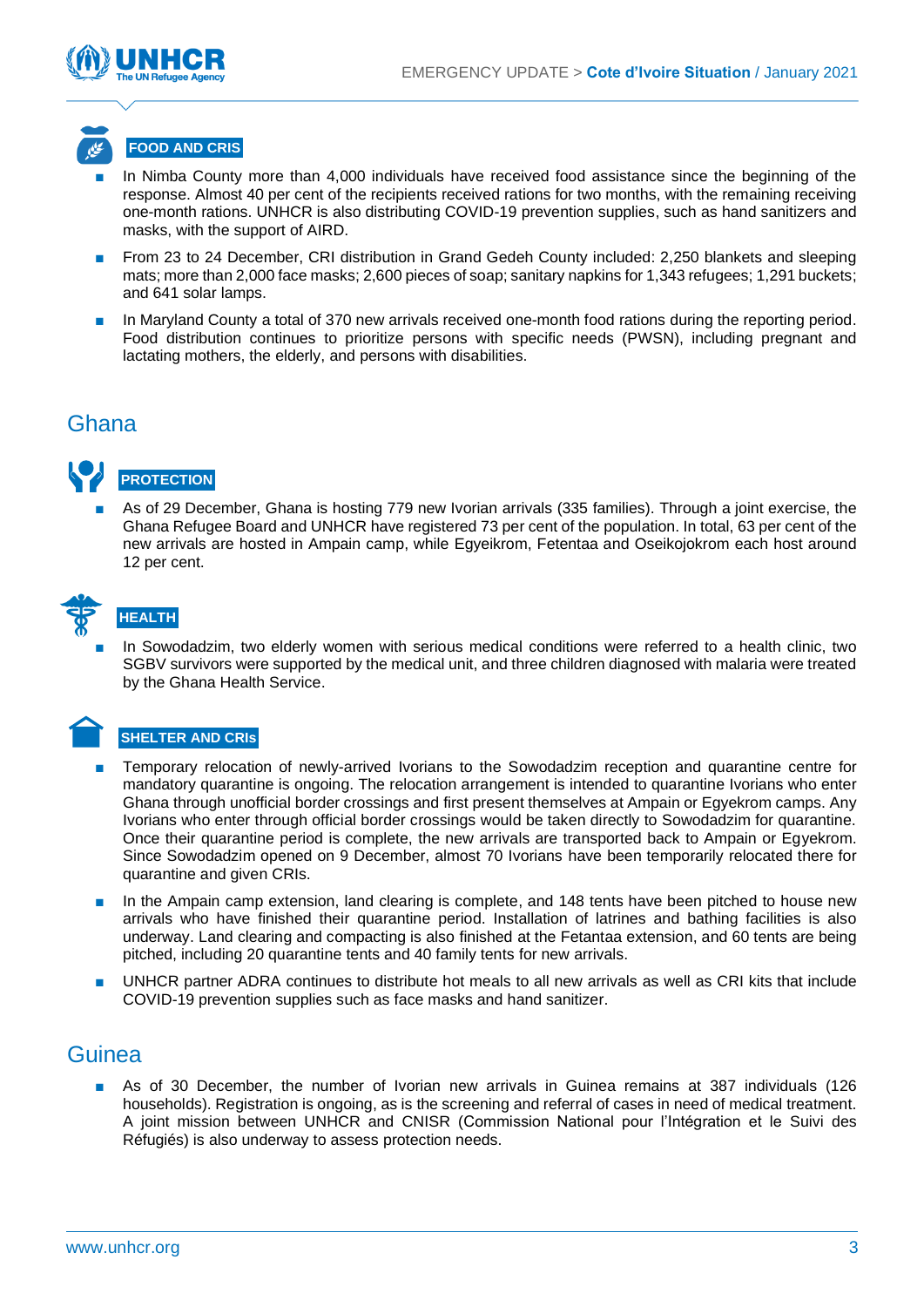



- In Nimba County more than 4,000 individuals have received food assistance since the beginning of the response. Almost 40 per cent of the recipients received rations for two months, with the remaining receiving one-month rations. UNHCR is also distributing COVID-19 prevention supplies, such as hand sanitizers and masks, with the support of AIRD.
- From 23 to 24 December, CRI distribution in Grand Gedeh County included: 2,250 blankets and sleeping mats; more than 2,000 face masks; 2,600 pieces of soap; sanitary napkins for 1,343 refugees; 1,291 buckets; and 641 solar lamps.
- In Maryland County a total of 370 new arrivals received one-month food rations during the reporting period. Food distribution continues to prioritize persons with specific needs (PWSN), including pregnant and lactating mothers, the elderly, and persons with disabilities.

## Ghana



As of 29 December, Ghana is hosting 779 new Ivorian arrivals (335 families). Through a joint exercise, the Ghana Refugee Board and UNHCR have registered 73 per cent of the population. In total, 63 per cent of the new arrivals are hosted in Ampain camp, while Egyeikrom, Fetentaa and Oseikojokrom each host around 12 per cent.



## **HEALTH**

In Sowodadzim, two elderly women with serious medical conditions were referred to a health clinic, two SGBV survivors were supported by the medical unit, and three children diagnosed with malaria were treated by the Ghana Health Service.

#### **SHELTER AND CRIs**

- Temporary relocation of newly-arrived Ivorians to the Sowodadzim reception and quarantine centre for mandatory quarantine is ongoing. The relocation arrangement is intended to quarantine Ivorians who enter Ghana through unofficial border crossings and first present themselves at Ampain or Egyekrom camps. Any Ivorians who enter through official border crossings would be taken directly to Sowodadzim for quarantine. Once their quarantine period is complete, the new arrivals are transported back to Ampain or Egyekrom. Since Sowodadzim opened on 9 December, almost 70 Ivorians have been temporarily relocated there for quarantine and given CRIs.
- In the Ampain camp extension, land clearing is complete, and 148 tents have been pitched to house new arrivals who have finished their quarantine period. Installation of latrines and bathing facilities is also underway. Land clearing and compacting is also finished at the Fetantaa extension, and 60 tents are being pitched, including 20 quarantine tents and 40 family tents for new arrivals.
- UNHCR partner ADRA continues to distribute hot meals to all new arrivals as well as CRI kits that include COVID-19 prevention supplies such as face masks and hand sanitizer.

## **Guinea**

As of 30 December, the number of Ivorian new arrivals in Guinea remains at 387 individuals (126 households). Registration is ongoing, as is the screening and referral of cases in need of medical treatment. A joint mission between UNHCR and CNISR (Commission National pour l'Intégration et le Suivi des Réfugiés) is also underway to assess protection needs.